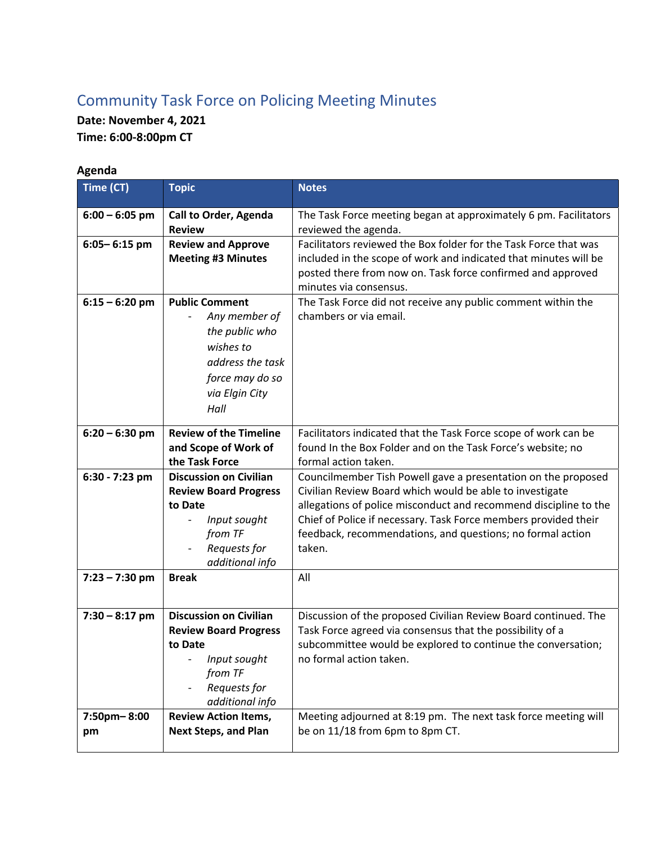## Community Task Force on Policing Meeting Minutes

**Date: November 4, 2021 Time: 6:00-8:00pm CT** 

| Agenda            |                                                                                                                                                                    |                                                                                                                                                                                                                                                                                                                                          |  |  |
|-------------------|--------------------------------------------------------------------------------------------------------------------------------------------------------------------|------------------------------------------------------------------------------------------------------------------------------------------------------------------------------------------------------------------------------------------------------------------------------------------------------------------------------------------|--|--|
| Time (CT)         | <b>Topic</b>                                                                                                                                                       | <b>Notes</b>                                                                                                                                                                                                                                                                                                                             |  |  |
| $6:00 - 6:05$ pm  | <b>Call to Order, Agenda</b><br><b>Review</b>                                                                                                                      | The Task Force meeting began at approximately 6 pm. Facilitators<br>reviewed the agenda.                                                                                                                                                                                                                                                 |  |  |
| $6:05 - 6:15$ pm  | <b>Review and Approve</b><br><b>Meeting #3 Minutes</b>                                                                                                             | Facilitators reviewed the Box folder for the Task Force that was<br>included in the scope of work and indicated that minutes will be<br>posted there from now on. Task force confirmed and approved<br>minutes via consensus.                                                                                                            |  |  |
| $6:15 - 6:20$ pm  | <b>Public Comment</b><br>Any member of<br>the public who<br>wishes to<br>address the task<br>force may do so<br>via Elgin City<br>Hall                             | The Task Force did not receive any public comment within the<br>chambers or via email.                                                                                                                                                                                                                                                   |  |  |
| $6:20 - 6:30$ pm  | <b>Review of the Timeline</b><br>and Scope of Work of<br>the Task Force                                                                                            | Facilitators indicated that the Task Force scope of work can be<br>found In the Box Folder and on the Task Force's website; no<br>formal action taken.                                                                                                                                                                                   |  |  |
| 6:30 - 7:23 pm    | <b>Discussion on Civilian</b><br><b>Review Board Progress</b><br>to Date<br>Input sought<br>$\overline{\phantom{a}}$<br>from TF<br>Requests for<br>additional info | Councilmember Tish Powell gave a presentation on the proposed<br>Civilian Review Board which would be able to investigate<br>allegations of police misconduct and recommend discipline to the<br>Chief of Police if necessary. Task Force members provided their<br>feedback, recommendations, and questions; no formal action<br>taken. |  |  |
| $7:23 - 7:30$ pm  | <b>Break</b>                                                                                                                                                       | All                                                                                                                                                                                                                                                                                                                                      |  |  |
| $7:30 - 8:17$ pm  | <b>Discussion on Civilian</b><br><b>Review Board Progress</b><br>to Date<br>Input sought<br>from TF<br>Requests for<br>additional info                             | Discussion of the proposed Civilian Review Board continued. The<br>Task Force agreed via consensus that the possibility of a<br>subcommittee would be explored to continue the conversation;<br>no formal action taken.                                                                                                                  |  |  |
| 7:50pm-8:00<br>pm | <b>Review Action Items,</b><br><b>Next Steps, and Plan</b>                                                                                                         | Meeting adjourned at 8:19 pm. The next task force meeting will<br>be on 11/18 from 6pm to 8pm CT.                                                                                                                                                                                                                                        |  |  |